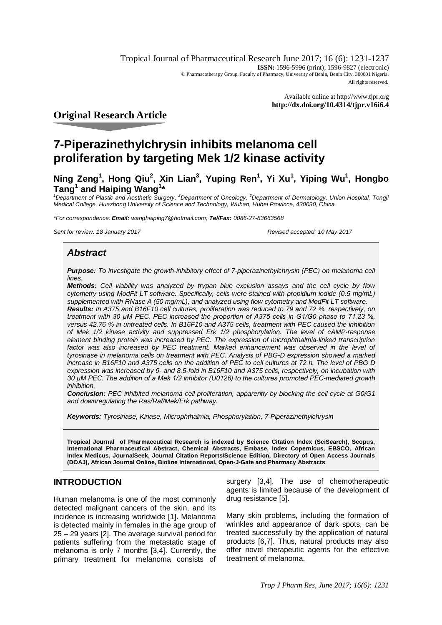Tropical Journal of Pharmaceutical Research June 2017; 16 (6): 1231-1237 **ISSN:** 1596-5996 (print); 1596-9827 (electronic) © Pharmacotherapy Group, Faculty of Pharmacy, University of Benin, Benin City, 300001 Nigeria. All rights reserved.

> Available online at <http://www.tjpr.org> **<http://dx.doi.org/10.4314/tjpr.v16i6.4>**

# **Original Research Article**

# **7-Piperazinethylchrysin inhibits melanoma cell proliferation by targeting Mek 1/2 kinase activity**

**Ning Zeng<sup>1</sup> , Hong Qiu<sup>2</sup> , Xin Lian<sup>3</sup> , Yuping Ren<sup>1</sup> , Yi Xu<sup>1</sup> , Yiping Wu<sup>1</sup> , Hongbo Tang<sup>1</sup> and Haiping Wang<sup>1</sup> \***

*<sup>1</sup>Department of Plastic and Aesthetic Surgery, <sup>2</sup>Department of Oncology, <sup>3</sup>Department of Dermatology, Union Hospital, Tongji Medical College, Huazhong University of Science and Technology, Wuhan, Hubei Province, 430030, China*

*\*For correspondence: Email: [wanghaiping7@hotmail.com;](mailto:wanghaiping7@hotmail.com;) Tel/Fax: 0086-27-83663568*

*Sent for review: 18 January 2017 Revised accepted: 10 May 2017*

# *Abstract*

*Purpose: To investigate the growth-inhibitory effect of 7-piperazinethylchrysin (PEC) on melanoma cell lines.*

*Methods: Cell viability was analyzed by trypan blue exclusion assays and the cell cycle by flow cytometry using ModFit LT software. Specifically, cells were stained with propidium iodide (0.5 mg/mL) supplemented with RNase A (50 mg/mL), and analyzed using flow cytometry and ModFit LT software.*

*Results: In A375 and B16F10 cell cultures, proliferation was reduced to 79 and 72 %, respectively, on treatment with 30 μM PEC. PEC increased the proportion of A375 cells in G1/G0 phase to 71.23 %, versus 42.76 % in untreated cells. In B16F10 and A375 cells, treatment with PEC caused the inhibition of Mek 1/2 kinase activity and suppressed Erk 1/2 phosphorylation. The level of cAMP-response element binding protein was increased by PEC. The expression of microphthalmia-linked transcription*  factor was also increased by PEC treatment. Marked enhancement was observed in the level of *tyrosinase in melanoma cells on treatment with PEC. Analysis of PBG-D expression showed a marked increase in B16F10 and A375 cells on the addition of PEC to cell cultures at 72 h. The level of PBG D expression was increased by 9- and 8.5-fold in B16F10 and A375 cells, respectively, on incubation with 30 μM PEC. The addition of a Mek 1/2 inhibitor (U0126) to the cultures promoted PEC-mediated growth inhibition.*

*Conclusion: PEC inhibited melanoma cell proliferation, apparently by blocking the cell cycle at G0/G1 and downregulating the Ras/Raf/Mek/Erk pathway.* 

*Keywords: Tyrosinase, Kinase, Microphthalmia, Phosphorylation, 7-Piperazinethylchrysin*

**Tropical Journal of Pharmaceutical Research is indexed by Science Citation Index (SciSearch), Scopus, International Pharmaceutical Abstract, Chemical Abstracts, Embase, Index Copernicus, EBSCO, African Index Medicus, JournalSeek, Journal Citation Reports/Science Edition, Directory of Open Access Journals (DOAJ), African Journal Online, Bioline International, Open-J-Gate and Pharmacy Abstracts**

# **INTRODUCTION**

Human melanoma is one of the most commonly detected malignant cancers of the skin, and its incidence is increasing worldwide [1]. Melanoma is detected mainly in females in the age group of 25 – 29 years [2]. The average survival period for patients suffering from the metastatic stage of melanoma is only 7 months [3,4]. Currently, the primary treatment for melanoma consists of surgery [3,4]. The use of chemotherapeutic agents is limited because of the development of drug resistance [5].

Many skin problems, including the formation of wrinkles and appearance of dark spots, can be treated successfully by the application of natural products [6,7]. Thus, natural products may also offer novel therapeutic agents for the effective treatment of melanoma.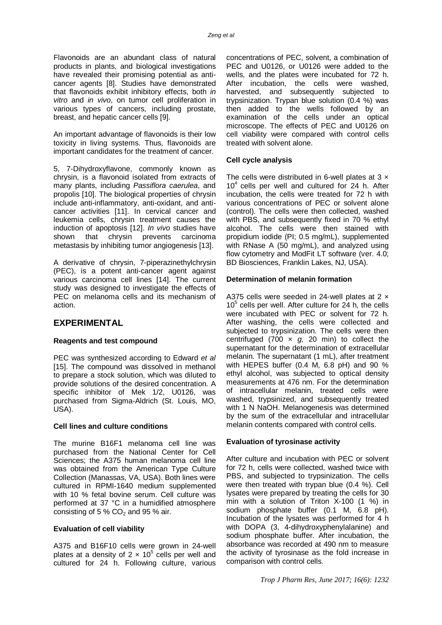Flavonoids are an abundant class of natural products in plants, and biological investigations have revealed their promising potential as anticancer agents [8]. Studies have demonstrated that flavonoids exhibit inhibitory effects, both *in vitro* and *in vivo*, on tumor cell proliferation in various types of cancers, including prostate, breast, and hepatic cancer cells [9].

An important advantage of flavonoids is their low toxicity in living systems. Thus, flavonoids are important candidates for the treatment of cancer.

5, 7-Dihydroxyflavone, commonly known as chrysin, is a flavonoid isolated from extracts of many plants, including *Passiflora caerulea*, and propolis [10]. The biological properties of chrysin include anti-inflammatory, anti-oxidant, and anticancer activities [11]. In cervical cancer and leukemia cells, chrysin treatment causes the induction of apoptosis [12]. *In vivo* studies have shown that chrysin prevents carcinoma metastasis by inhibiting tumor angiogenesis [13].

A derivative of chrysin, 7-piperazinethylchrysin (PEC), is a potent anti-cancer agent against various carcinoma cell lines [14]. The current study was designed to investigate the effects of PEC on melanoma cells and its mechanism of action.

# **EXPERIMENTAL**

## **Reagents and test compound**

PEC was synthesized according to Edward *et al* [15]. The compound was dissolved in methanol to prepare a stock solution, which was diluted to provide solutions of the desired concentration. A specific inhibitor of Mek 1/2, U0126, was purchased from Sigma-Aldrich (St. Louis, MO, USA).

## **Cell lines and culture conditions**

The murine B16F1 melanoma cell line was purchased from the National Center for Cell Sciences; the A375 human melanoma cell line was obtained from the American Type Culture Collection (Manassas, VA, USA). Both lines were cultured in RPMI-1640 medium supplemented with 10 % fetal bovine serum. Cell culture was performed at 37 °C in a humidified atmosphere consisting of 5 %  $CO<sub>2</sub>$  and 95 % air.

#### **Evaluation of cell viability**

A375 and B16F10 cells were grown in 24-well plates at a density of 2  $\times$  10<sup>5</sup> cells per well and cultured for 24 h. Following culture, various

concentrations of PEC, solvent, a combination of PEC and U0126, or U0126 were added to the wells, and the plates were incubated for 72 h. After incubation, the cells were washed, harvested, and subsequently subjected to trypsinization. Trypan blue solution (0.4 %) was then added to the wells followed by an examination of the cells under an optical microscope. The effects of PEC and U0126 on cell viability were compared with control cells treated with solvent alone.

## **Cell cycle analysis**

The cells were distributed in 6-well plates at  $3 \times$  $10<sup>4</sup>$  cells per well and cultured for 24 h. After incubation, the cells were treated for 72 h with various concentrations of PEC or solvent alone (control). The cells were then collected, washed with PBS, and subsequently fixed in 70 % ethyl alcohol. The cells were then stained with propidium iodide (PI; 0.5 mg/mL), supplemented with RNase A (50 mg/mL), and analyzed using flow cytometry and ModFit LT software (ver. 4.0; BD Biosciences, Franklin Lakes, NJ, USA).

### **Determination of melanin formation**

A375 cells were seeded in 24-well plates at  $2 \times$  $10<sup>5</sup>$  cells per well. After culture for  $24$  h, the cells were incubated with PEC or solvent for 72 h. After washing, the cells were collected and subjected to trypsinization. The cells were then centrifuged (700 × *g*, 20 min) to collect the supernatant for the determination of extracellular melanin. The supernatant (1 mL), after treatment with HEPES buffer (0.4 M, 6.8 pH) and 90 % ethyl alcohol, was subjected to optical density measurements at 476 nm. For the determination of intracellular melanin, treated cells were washed, trypsinized, and subsequently treated with 1 N NaOH. Melanogenesis was determined by the sum of the extracellular and intracellular melanin contents compared with control cells.

## **Evaluation of tyrosinase activity**

After culture and incubation with PEC or solvent for 72 h, cells were collected, washed twice with PBS, and subjected to trypsinization. The cells were then treated with trypan blue (0.4 %). Cell lysates were prepared by treating the cells for 30 min with a solution of Triton X-100 (1 %) in sodium phosphate buffer (0.1 M, 6.8 pH). Incubation of the lysates was performed for 4 h with DOPA (3, 4-dihydroxyphenylalanine) and sodium phosphate buffer. After incubation, the absorbance was recorded at 490 nm to measure the activity of tyrosinase as the fold increase in comparison with control cells.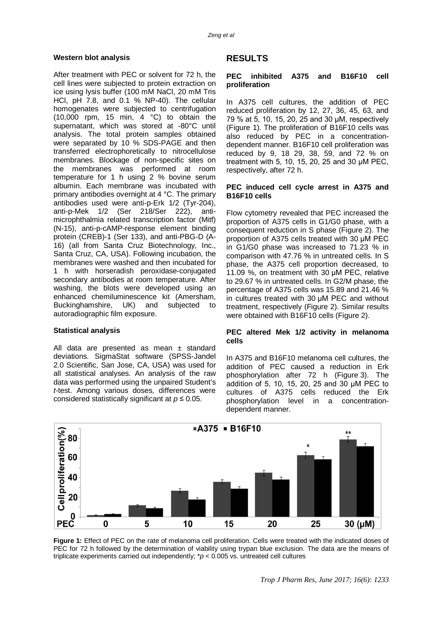#### **Western blot analysis**

After treatment with PEC or solvent for 72 h, the cell lines were subjected to protein extraction on ice using lysis buffer (100 mM NaCl, 20 mM Tris HCl, pH 7.8, and 0.1 % NP-40). The cellular homogenates were subjected to centrifugation (10,000 rpm, 15 min, 4 °C) to obtain the supernatant, which was stored at -80°C until analysis. The total protein samples obtained were separated by 10 % SDS-PAGE and then transferred electrophoretically to nitrocellulose membranes. Blockage of non-specific sites on the membranes was performed at room temperature for 1 h using 2 % bovine serum albumin. Each membrane was incubated with primary antibodies overnight at 4 °C. The primary antibodies used were anti-p-Erk 1/2 (Tyr-204), anti-p-Mek 1/2 (Ser 218/Ser 222), antimicrophthalmia related transcription factor (Mitf) (N-15), anti-p-cAMP-response element binding protein (CREB)-1 (Ser 133), and anti-PBG-D (A-16) (all from Santa Cruz Biotechnology, Inc., Santa Cruz, CA, USA). Following incubation, the membranes were washed and then incubated for 1 h with horseradish peroxidase-conjugated secondary antibodies at room temperature. After washing, the blots were developed using an enhanced chemiluminescence kit (Amersham, Buckinghamshire, UK) and subjected to autoradiographic film exposure.

#### **Statistical analysis**

All data are presented as mean ± standard deviations. SigmaStat software (SPSS-Jandel 2.0 Scientific, San Jose, CA, USA) was used for all statistical analyses. An analysis of the raw data was performed using the unpaired Student's *t*-test. Among various doses, differences were considered statistically significant at *p* ≤ 0.05.

## **RESULTS**

#### **PEC inhibited A375 and B16F10 cell proliferation**

In A375 cell cultures, the addition of PEC reduced proliferation by 12, 27, 36, 45, 63, and 79 % at 5, 10, 15, 20, 25 and 30 μM, respectively (Figure 1). The proliferation of B16F10 cells was also reduced by PEC in a concentrationdependent manner. B16F10 cell proliferation was reduced by 9, 18 29, 38, 59, and 72 % on treatment with 5, 10, 15, 20, 25 and 30 μM PEC, respectively, after 72 h.

#### **PEC induced cell cycle arrest in A375 and B16F10 cells**

Flow cytometry revealed that PEC increased the proportion of A375 cells in G1/G0 phase, with a consequent reduction in S phase (Figure 2). The proportion of A375 cells treated with 30 μM PEC in G1/G0 phase was increased to 71.23 % in comparison with 47.76 % in untreated cells. In S phase, the A375 cell proportion decreased, to 11.09 %, on treatment with 30 μM PEC, relative to 29.67 % in untreated cells. In G2/M phase, the percentage of A375 cells was 15.89 and 21.46 % in cultures treated with 30 μM PEC and without treatment, respectively (Figure 2). Similar results were obtained with B16F10 cells (Figure 2).

#### **PEC altered Mek 1/2 activity in melanoma cells**

In A375 and B16F10 melanoma cell cultures, the addition of PEC caused a reduction in Erk phosphorylation after 72 h (Figure 3). The addition of 5, 10, 15, 20, 25 and 30 μM PEC to cultures of A375 cells reduced the Erk phosphorylation level in a concentrationdependent manner.



**Figure 1:** Effect of PEC on the rate of melanoma cell proliferation. Cells were treated with the indicated doses of PEC for 72 h followed by the determination of viability using trypan blue exclusion. The data are the means of triplicate experiments carried out independently; \**p* < 0.005 vs. untreated cell cultures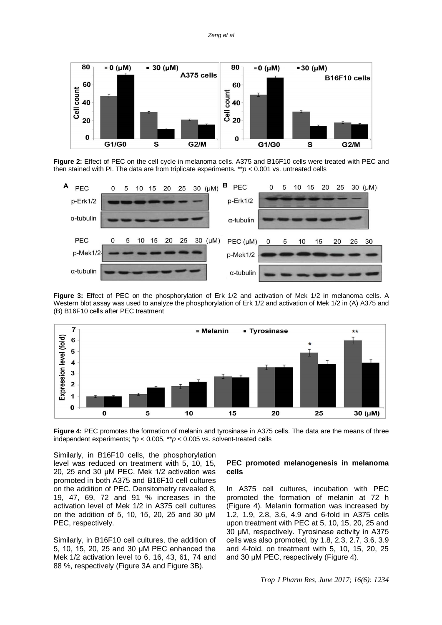

**Figure 2:** Effect of PEC on the cell cycle in melanoma cells. A375 and B16F10 cells were treated with PEC and then stained with PI. The data are from triplicate experiments. \*\**p* < 0.001 vs. untreated cells



**Figure 3:** Effect of PEC on the phosphorylation of Erk 1/2 and activation of Mek 1/2 in melanoma cells. A Western blot assay was used to analyze the phosphorylation of Erk 1/2 and activation of Mek 1/2 in (A) A375 and (B) B16F10 cells after PEC treatment



**Figure 4:** PEC promotes the formation of melanin and tyrosinase in A375 cells. The data are the means of three independent experiments; \**p* < 0.005, \*\**p* < 0.005 vs. solvent-treated cells

Similarly, in B16F10 cells, the phosphorylation level was reduced on treatment with 5, 10, 15, 20, 25 and 30 μM PEC. Mek 1/2 activation was promoted in both A375 and B16F10 cell cultures on the addition of PEC. Densitometry revealed 8, 19, 47, 69, 72 and 91 % increases in the activation level of Mek 1/2 in A375 cell cultures on the addition of 5, 10, 15, 20, 25 and 30 μM PEC, respectively.

Similarly, in B16F10 cell cultures, the addition of 5, 10, 15, 20, 25 and 30 μM PEC enhanced the Mek 1/2 activation level to 6, 16, 43, 61, 74 and 88 %, respectively (Figure 3A and Figure 3B).

#### **PEC promoted melanogenesis in melanoma cells**

In A375 cell cultures, incubation with PEC promoted the formation of melanin at 72 h (Figure 4). Melanin formation was increased by 1.2, 1.9, 2.8, 3.6, 4.9 and 6-fold in A375 cells upon treatment with PEC at 5, 10, 15, 20, 25 and 30 μM, respectively. Tyrosinase activity in A375 cells was also promoted, by 1.8, 2.3, 2.7, 3.6, 3.9 and 4-fold, on treatment with 5, 10, 15, 20, 25 and 30 μM PEC, respectively (Figure 4).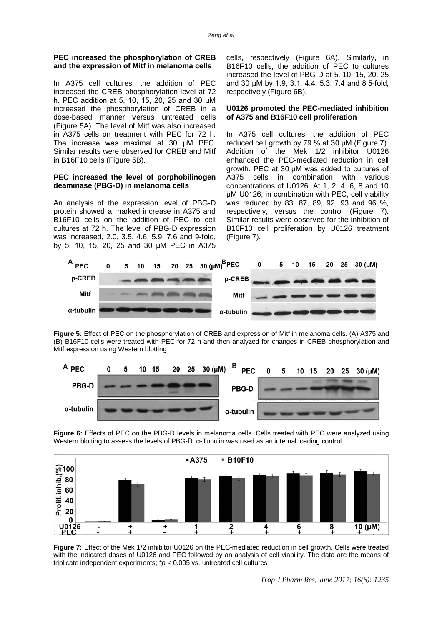#### **PEC increased the phosphorylation of CREB and the expression of Mitf in melanoma cells**

In A375 cell cultures, the addition of PEC increased the CREB phosphorylation level at 72 h. PEC addition at 5, 10, 15, 20, 25 and 30 μM increased the phosphorylation of CREB in a dose-based manner versus untreated cells (Figure 5A). The level of Mitf was also increased in A375 cells on treatment with PEC for 72 h. The increase was maximal at 30 μM PEC. Similar results were observed for CREB and Mitf in B16F10 cells (Figure 5B).

#### **PEC increased the level of porphobilinogen deaminase (PBG-D) in melanoma cells**

An analysis of the expression level of PBG-D protein showed a marked increase in A375 and B16F10 cells on the addition of PEC to cell cultures at 72 h. The level of PBG-D expression was increased, 2.0, 3.5, 4.6, 5.9, 7.6 and 9-fold, by 5, 10, 15, 20, 25 and 30 μM PEC in A375

cells, respectively (Figure 6A). Similarly, in B16F10 cells, the addition of PEC to cultures increased the level of PBG-D at 5, 10, 15, 20, 25 and 30 μM by 1.9, 3.1, 4.4, 5.3, 7.4 and 8.5-fold, respectively (Figure 6B).

#### **U0126 promoted the PEC-mediated inhibition of A375 and B16F10 cell proliferation**

In A375 cell cultures, the addition of PEC reduced cell growth by 79 % at 30 μM (Figure 7). Addition of the Mek 1/2 inhibitor U0126 enhanced the PEC-mediated reduction in cell growth. PEC at 30 μM was added to cultures of A375 cells in combination with various concentrations of U0126. At 1, 2, 4, 6, 8 and 10 μM U0126, in combination with PEC, cell viability was reduced by 83, 87, 89, 92, 93 and 96 %, respectively, versus the control (Figure 7). Similar results were observed for the inhibition of B16F10 cell proliferation by U0126 treatment (Figure 7).



**Figure 5:** Effect of PEC on the phosphorylation of CREB and expression of Mitf in melanoma cells. (A) A375 and (B) B16F10 cells were treated with PEC for 72 h and then analyzed for changes in CREB phosphorylation and Mitf expression using Western blotting



**Figure 6:** Effects of PEC on the PBG-D levels in melanoma cells. Cells treated with PEC were analyzed using Western blotting to assess the levels of PBG-D. α-Tubulin was used as an internal loading control



**Figure 7:** Effect of the Mek 1/2 inhibitor U0126 on the PEC-mediated reduction in cell growth. Cells were treated with the indicated doses of U0126 and PEC followed by an analysis of cell viability. The data are the means of triplicate independent experiments; \**p* < 0.005 vs. untreated cell cultures

*Trop J Pharm Res, June 2017; 16(6): 1235*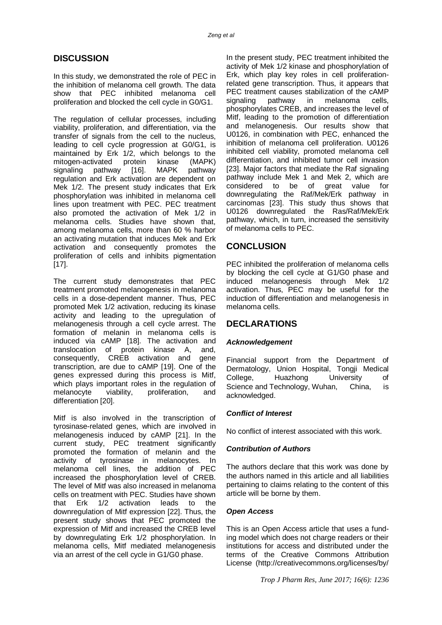# **DISCUSSION**

In this study, we demonstrated the role of PEC in the inhibition of melanoma cell growth. The data show that PEC inhibited melanoma cell proliferation and blocked the cell cycle in G0/G1.

The regulation of cellular processes, including viability, proliferation, and differentiation, via the transfer of signals from the cell to the nucleus, leading to cell cycle progression at G0/G1, is maintained by Erk 1/2, which belongs to the mitogen-activated protein kinase (MAPK) signaling pathway [16]. MAPK pathway regulation and Erk activation are dependent on Mek 1/2. The present study indicates that Erk phosphorylation was inhibited in melanoma cell lines upon treatment with PEC. PEC treatment also promoted the activation of Mek 1/2 in melanoma cells. Studies have shown that, among melanoma cells, more than 60 % harbor an activating mutation that induces Mek and Erk activation and consequently promotes the proliferation of cells and inhibits pigmentation [17].

The current study demonstrates that PEC treatment promoted melanogenesis in melanoma cells in a dose-dependent manner. Thus, PEC promoted Mek 1/2 activation, reducing its kinase activity and leading to the upregulation of melanogenesis through a cell cycle arrest. The formation of melanin in melanoma cells is induced via cAMP [18]. The activation and translocation of protein kinase A, and, consequently, CREB activation and gene transcription, are due to cAMP [19]. One of the genes expressed during this process is Mitf, which plays important roles in the regulation of melanocyte viability, proliferation, and differentiation [20].

Mitf is also involved in the transcription of tyrosinase-related genes, which are involved in melanogenesis induced by cAMP [21]. In the current study, PEC treatment significantly promoted the formation of melanin and the activity of tyrosinase in melanocytes. In melanoma cell lines, the addition of PEC increased the phosphorylation level of CREB. The level of Mitf was also increased in melanoma cells on treatment with PEC. Studies have shown that Erk 1/2 activation leads to the downregulation of Mitf expression [22]. Thus, the present study shows that PEC promoted the expression of Mitf and increased the CREB level by downregulating Erk 1/2 phosphorylation. In melanoma cells, Mitf mediated melanogenesis via an arrest of the cell cycle in G1/G0 phase.

In the present study, PEC treatment inhibited the activity of Mek 1/2 kinase and phosphorylation of Erk, which play key roles in cell proliferationrelated gene transcription. Thus, it appears that PEC treatment causes stabilization of the cAMP signaling pathway in melanoma cells, phosphorylates CREB, and increases the level of Mitf, leading to the promotion of differentiation and melanogenesis. Our results show that U0126, in combination with PEC, enhanced the inhibition of melanoma cell proliferation. U0126 inhibited cell viability, promoted melanoma cell differentiation, and inhibited tumor cell invasion [23]. Major factors that mediate the Raf signaling pathway include Mek 1 and Mek 2, which are<br>considered to be of great value for considered to be of great value for downregulating the Raf/Mek/Erk pathway in carcinomas [23]. This study thus shows that U0126 downregulated the Ras/Raf/Mek/Erk pathway, which, in turn, increased the sensitivity of melanoma cells to PEC.

# **CONCLUSION**

PEC inhibited the proliferation of melanoma cells by blocking the cell cycle at G1/G0 phase and induced melanogenesis through Mek 1/2 activation. Thus, PEC may be useful for the induction of differentiation and melanogenesis in melanoma cells.

# **DECLARATIONS**

# *Acknowledgement*

Financial support from the Department of Dermatology, Union Hospital, Tongji Medical College, Huazhong University of Science and Technology, Wuhan, China, is acknowledged.

## *Conflict of Interest*

No conflict of interest associated with this work.

## *Contribution of Authors*

The authors declare that this work was done by the authors named in this article and all liabilities pertaining to claims relating to the content of this article will be borne by them.

## *Open Access*

This is an Open Access article that uses a funding model which does not charge readers or their institutions for access and distributed under the terms of the Creative Commons Attribution License (<http://creativecommons.org/licenses/by/>